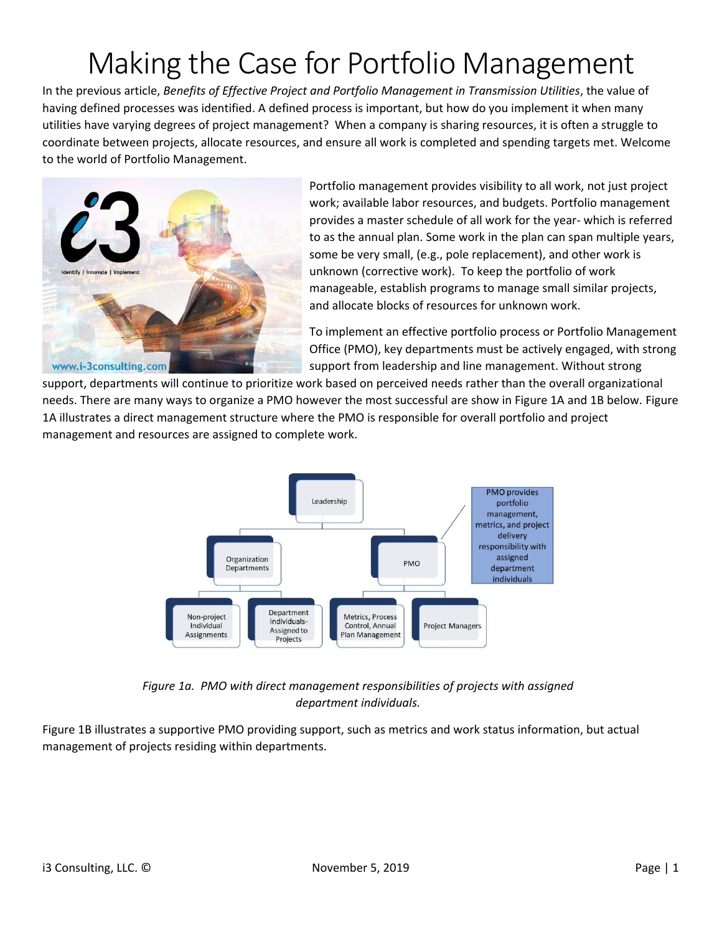## Making the Case for Portfolio Management

In the previous article, *Benefits of Effective Project and Portfolio Management in Transmission Utilities*, the value of having defined processes was identified. A defined process is important, but how do you implement it when many utilities have varying degrees of project management? When a company is sharing resources, it is often a struggle to coordinate between projects, allocate resources, and ensure all work is completed and spending targets met. Welcome to the world of Portfolio Management.



Portfolio management provides visibility to all work, not just project work; available labor resources, and budgets. Portfolio management provides a master schedule of all work for the year- which is referred to as the annual plan. Some work in the plan can span multiple years, some be very small, (e.g., pole replacement), and other work is unknown (corrective work). To keep the portfolio of work manageable, establish programs to manage small similar projects, and allocate blocks of resources for unknown work.

To implement an effective portfolio process or Portfolio Management Office (PMO), key departments must be actively engaged, with strong support from leadership and line management. Without strong

support, departments will continue to prioritize work based on perceived needs rather than the overall organizational needs. There are many ways to organize a PMO however the most successful are show in Figure 1A and 1B below. Figure 1A illustrates a direct management structure where the PMO is responsible for overall portfolio and project management and resources are assigned to complete work.



*Figure 1a. PMO with direct management responsibilities of projects with assigned department individuals.*

Figure 1B illustrates a supportive PMO providing support, such as metrics and work status information, but actual management of projects residing within departments.